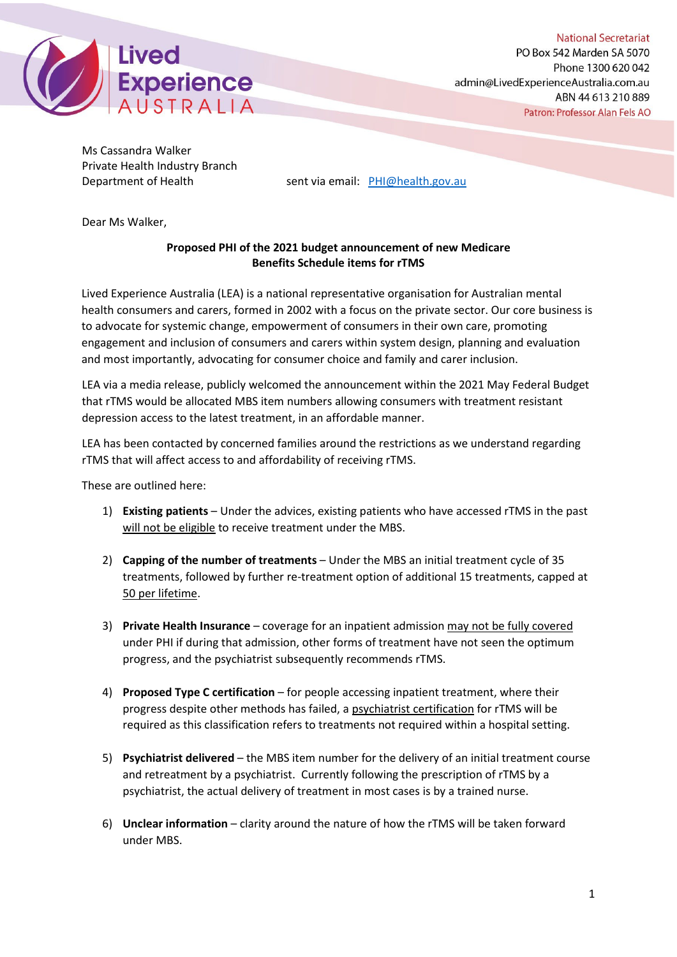

Ms Cassandra Walker Private Health Industry Branch

Department of Health sent via email: [PHI@health.gov.au](mailto:PHI@health.gov.au)

Dear Ms Walker,

# **Proposed PHI of the 2021 budget announcement of new Medicare Benefits Schedule items for rTMS**

Lived Experience Australia (LEA) is a national representative organisation for Australian mental health consumers and carers, formed in 2002 with a focus on the private sector. Our core business is to advocate for systemic change, empowerment of consumers in their own care, promoting engagement and inclusion of consumers and carers within system design, planning and evaluation and most importantly, advocating for consumer choice and family and carer inclusion.

LEA via a media release, publicly welcomed the announcement within the 2021 May Federal Budget that rTMS would be allocated MBS item numbers allowing consumers with treatment resistant depression access to the latest treatment, in an affordable manner.

LEA has been contacted by concerned families around the restrictions as we understand regarding rTMS that will affect access to and affordability of receiving rTMS.

These are outlined here:

- 1) **Existing patients** Under the advices, existing patients who have accessed rTMS in the past will not be eligible to receive treatment under the MBS.
- 2) **Capping of the number of treatments** Under the MBS an initial treatment cycle of 35 treatments, followed by further re-treatment option of additional 15 treatments, capped at 50 per lifetime.
- 3) **Private Health Insurance** coverage for an inpatient admission may not be fully covered under PHI if during that admission, other forms of treatment have not seen the optimum progress, and the psychiatrist subsequently recommends rTMS.
- 4) **Proposed Type C certification** for people accessing inpatient treatment, where their progress despite other methods has failed, a psychiatrist certification for rTMS will be required as this classification refers to treatments not required within a hospital setting.
- 5) **Psychiatrist delivered**  the MBS item number for the delivery of an initial treatment course and retreatment by a psychiatrist. Currently following the prescription of rTMS by a psychiatrist, the actual delivery of treatment in most cases is by a trained nurse.
- 6) **Unclear information** clarity around the nature of how the rTMS will be taken forward under MBS.